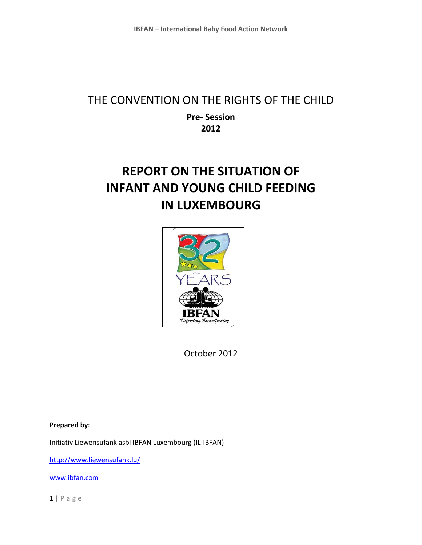## THE CONVENTION ON THE RIGHTS OF THE CHILD

**Pre- Session 2012**

# **REPORT ON THE SITUATION OF INFANT AND YOUNG CHILD FEEDING IN LUXEMBOURG**



October 2012

**Prepared by:** 

Initiativ Liewensufank asbl IBFAN Luxembourg (IL-IBFAN)

<http://www.liewensufank.lu/>

[www.ibfan.com](http://www.ibfan.com/)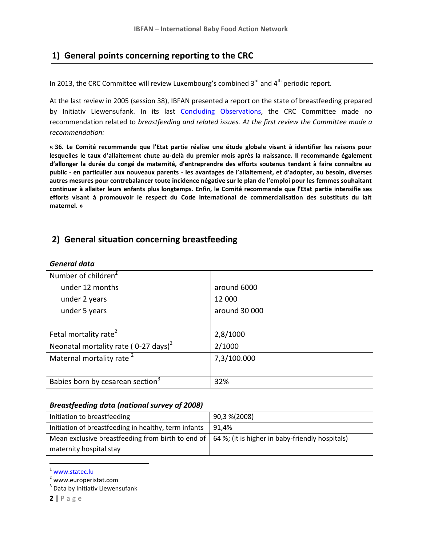### **1) General points concerning reporting to the CRC**

In 2013, the CRC Committee will review Luxembourg's combined  $3<sup>rd</sup>$  and  $4<sup>th</sup>$  periodic report.

At the last review in 2005 (session 38), IBFAN presented a report on the state of breastfeeding prepared by Initiativ Liewensufank. In its last [Concluding Observations,](http://www.unhchr.ch/tbs/doc.nsf/%28Symbol%29/CRC.C.15.Add.250.En?Opendocument) the CRC Committee made no recommendation related to *breastfeeding and related issues. At the first review the Committee made a recommendation:*

**« 36. Le Comité recommande que l'Etat partie réalise une étude globale visant à identifier les raisons pour lesquelles le taux d'allaitement chute au-delà du premier mois après la naissance. Il recommande également d'allonger la durée du congé de maternité, d'entreprendre des efforts soutenus tendant à faire connaître au public - en particulier aux nouveaux parents - les avantages de l'allaitement, et d'adopter, au besoin, diverses autres mesures pour contrebalancer toute incidence négative sur le plan de l'emploi pour les femmes souhaitant continuer à allaiter leurs enfants plus longtemps. Enfin, le Comité recommande que l'Etat partie intensifie ses efforts visant à promouvoir le respect du Code international de commercialisation des substituts du lait maternel. »**

### **2) General situation concerning breastfeeding**

#### *General data*

| Number of children <sup>1</sup>                              |               |
|--------------------------------------------------------------|---------------|
| under 12 months                                              | around 6000   |
| under 2 years                                                | 12 000        |
| under 5 years                                                | around 30 000 |
|                                                              |               |
| Fetal mortality rate <sup>2</sup>                            | 2,8/1000      |
| Neonatal mortality rate ( $0-27 \text{ days}$ ) <sup>2</sup> | 2/1000        |
| Maternal mortality rate <sup>2</sup>                         | 7,3/100.000   |
|                                                              |               |
| Babies born by cesarean section <sup>3</sup>                 | 32%           |

#### *Breastfeeding data (national survey of 2008)*

| Initiation to breastfeeding                                                                               | 90,3 %(2008) |
|-----------------------------------------------------------------------------------------------------------|--------------|
| Initiation of breastfeeding in healthy, term infants                                                      | 91.4%        |
| Mean exclusive breastfeeding from birth to end of $\vert$ 64 %; (it is higher in baby-friendly hospitals) |              |
| maternity hospital stay                                                                                   |              |

<sup>&</sup>lt;sup>1</sup> [www.statec.lu](http://www.statec.lu/)

 $\overline{\phantom{a}}$ 

<sup>2</sup> www.europeristat.com

<sup>&</sup>lt;sup>3</sup> Data by Initiativ Liewensufank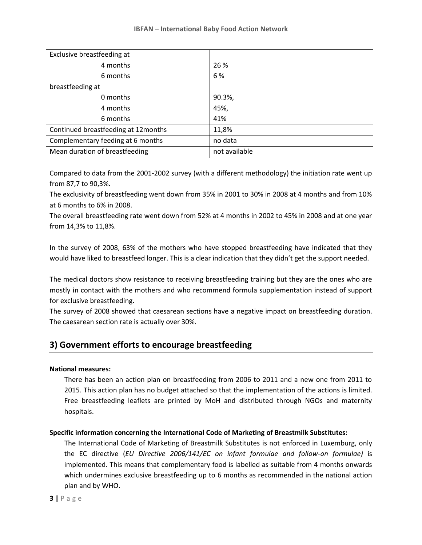| Exclusive breastfeeding at           |               |
|--------------------------------------|---------------|
| 4 months                             | 26 %          |
| 6 months                             | 6%            |
| breastfeeding at                     |               |
| 0 months                             | 90.3%,        |
| 4 months                             | 45%,          |
| 6 months                             | 41%           |
| Continued breastfeeding at 12 months | 11,8%         |
| Complementary feeding at 6 months    | no data       |
| Mean duration of breastfeeding       | not available |

Compared to data from the 2001-2002 survey (with a different methodology) the initiation rate went up from 87,7 to 90,3%.

The exclusivity of breastfeeding went down from 35% in 2001 to 30% in 2008 at 4 months and from 10% at 6 months to 6% in 2008.

The overall breastfeeding rate went down from 52% at 4 months in 2002 to 45% in 2008 and at one year from 14,3% to 11,8%.

In the survey of 2008, 63% of the mothers who have stopped breastfeeding have indicated that they would have liked to breastfeed longer. This is a clear indication that they didn't get the support needed.

The medical doctors show resistance to receiving breastfeeding training but they are the ones who are mostly in contact with the mothers and who recommend formula supplementation instead of support for exclusive breastfeeding.

The survey of 2008 showed that caesarean sections have a negative impact on breastfeeding duration. The caesarean section rate is actually over 30%.

### **3) Government efforts to encourage breastfeeding**

#### **National measures:**

There has been an action plan on breastfeeding from 2006 to 2011 and a new one from 2011 to 2015. This action plan has no budget attached so that the implementation of the actions is limited. Free breastfeeding leaflets are printed by MoH and distributed through NGOs and maternity hospitals.

#### **Specific information concerning the International Code of Marketing of Breastmilk Substitutes:**

The International Code of Marketing of Breastmilk Substitutes is not enforced in Luxemburg, only the EC directive (*EU Directive 2006/141/EC on infant formulae and follow-on formulae)* is implemented. This means that complementary food is labelled as suitable from 4 months onwards which undermines exclusive breastfeeding up to 6 months as recommended in the national action plan and by WHO.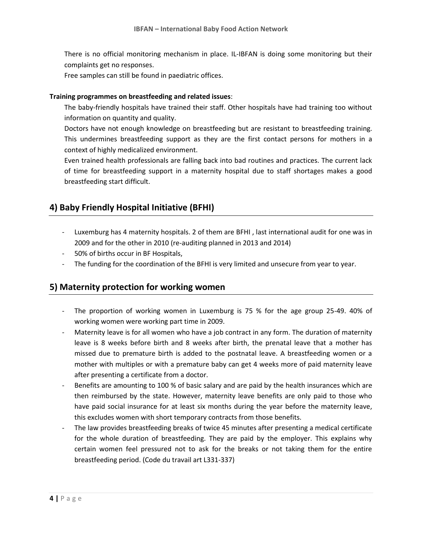There is no official monitoring mechanism in place. IL-IBFAN is doing some monitoring but their complaints get no responses.

Free samples can still be found in paediatric offices.

#### **Training programmes on breastfeeding and related issues**:

The baby-friendly hospitals have trained their staff. Other hospitals have had training too without information on quantity and quality.

Doctors have not enough knowledge on breastfeeding but are resistant to breastfeeding training. This undermines breastfeeding support as they are the first contact persons for mothers in a context of highly medicalized environment.

Even trained health professionals are falling back into bad routines and practices. The current lack of time for breastfeeding support in a maternity hospital due to staff shortages makes a good breastfeeding start difficult.

### **4) Baby Friendly Hospital Initiative (BFHI)**

- Luxemburg has 4 maternity hospitals. 2 of them are BFHI , last international audit for one was in 2009 and for the other in 2010 (re-auditing planned in 2013 and 2014)
- 50% of births occur in BF Hospitals,
- The funding for the coordination of the BFHI is very limited and unsecure from year to year.

### **5) Maternity protection for working women**

- The proportion of working women in Luxemburg is 75 % for the age group 25-49. 40% of working women were working part time in 2009.
- Maternity leave is for all women who have a job contract in any form. The duration of maternity leave is 8 weeks before birth and 8 weeks after birth, the prenatal leave that a mother has missed due to premature birth is added to the postnatal leave. A breastfeeding women or a mother with multiples or with a premature baby can get 4 weeks more of paid maternity leave after presenting a certificate from a doctor.
- Benefits are amounting to 100 % of basic salary and are paid by the health insurances which are then reimbursed by the state. However, maternity leave benefits are only paid to those who have paid social insurance for at least six months during the year before the maternity leave, this excludes women with short temporary contracts from those benefits.
- The law provides breastfeeding breaks of twice 45 minutes after presenting a medical certificate for the whole duration of breastfeeding. They are paid by the employer. This explains why certain women feel pressured not to ask for the breaks or not taking them for the entire breastfeeding period. (Code du travail art L331-337)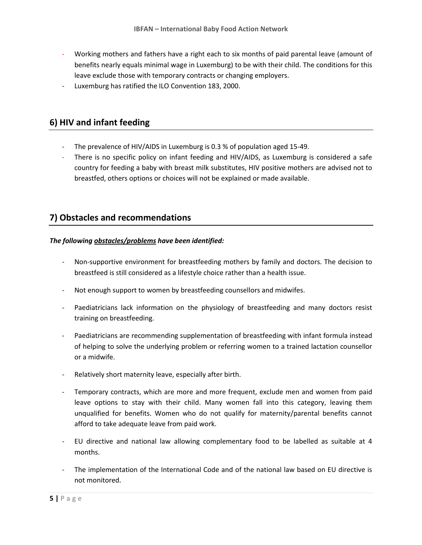- Working mothers and fathers have a right each to six months of paid parental leave (amount of benefits nearly equals minimal wage in Luxemburg) to be with their child. The conditions for this leave exclude those with temporary contracts or changing employers.
- Luxemburg has ratified the ILO Convention 183, 2000.

### **6) HIV and infant feeding**

- The prevalence of HIV/AIDS in Luxemburg is 0.3 % of population aged 15-49.
- There is no specific policy on infant feeding and HIV/AIDS, as Luxemburg is considered a safe country for feeding a baby with breast milk substitutes, HIV positive mothers are advised not to breastfed, others options or choices will not be explained or made available.

### **7) Obstacles and recommendations**

#### *The following obstacles/problems have been identified:*

- Non-supportive environment for breastfeeding mothers by family and doctors. The decision to breastfeed is still considered as a lifestyle choice rather than a health issue.
- Not enough support to women by breastfeeding counsellors and midwifes.
- Paediatricians lack information on the physiology of breastfeeding and many doctors resist training on breastfeeding.
- Paediatricians are recommending supplementation of breastfeeding with infant formula instead of helping to solve the underlying problem or referring women to a trained lactation counsellor or a midwife.
- Relatively short maternity leave, especially after birth.
- Temporary contracts, which are more and more frequent, exclude men and women from paid leave options to stay with their child. Many women fall into this category, leaving them unqualified for benefits. Women who do not qualify for maternity/parental benefits cannot afford to take adequate leave from paid work.
- EU directive and national law allowing complementary food to be labelled as suitable at 4 months.
- The implementation of the International Code and of the national law based on EU directive is not monitored.